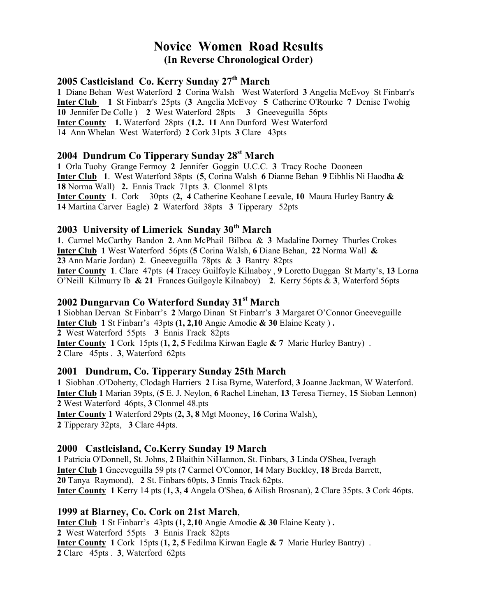# Novice Women Road Results (In Reverse Chronological Order)

#### 2005 Castleisland Co. Kerry Sunday 27<sup>th</sup> March

1 Diane Behan West Waterford 2 Corina Walsh West Waterford 3 Angelia McEvoy St Finbarr's Inter Club 1 St Finbarr's 25pts (3 Angelia McEvoy 5 Catherine O'Rourke 7 Denise Twohig 10 Jennifer De Colle ) 2 West Waterford 28pts 3 Gneeveguilla 56pts Inter County 1. Waterford 28pts (1.2. 11 Ann Dunford West Waterford 14 Ann Whelan West Waterford) 2 Cork 31pts 3 Clare 43pts

## 2004 Dundrum Co Tipperary Sunday 28<sup>st</sup> March

1 Orla Tuohy Grange Fermoy 2 Jennifer Goggin U.C.C. 3 Tracy Roche Dooneen **Inter Club** 1. West Waterford 38pts (5, Corina Walsh 6 Dianne Behan 9 Eibhlis Ni Haodha  $\&$ 18 Norma Wall) 2. Ennis Track 71pts 3. Clonmel 81pts Inter County 1. Cork 30pts (2, 4 Catherine Keohane Leevale, 10 Maura Hurley Bantry & 14 Martina Carver Eagle) 2 Waterford 38pts 3 Tipperary 52pts

#### 2003 University of Limerick Sunday 30<sup>th</sup> March

1. Carmel McCarthy Bandon 2. Ann McPhail Bilboa & 3 Madaline Dorney Thurles Crokes **Inter Club 1** West Waterford 56pts (5 Corina Walsh, 6 Diane Behan, 22 Norma Wall  $\&$ 23 Ann Marie Jordan) 2. Gneeveguilla 78pts & 3 Bantry 82pts Inter County 1. Clare 47pts (4 Tracey Guilfoyle Kilnaboy , 9 Loretto Duggan St Marty's, 13 Lorna O'Neill Kilmurry Ib & 21 Frances Guilgoyle Kilnaboy) 2. Kerry 56pts & 3, Waterford 56pts

### 2002 Dungarvan Co Waterford Sunday 31<sup>st</sup> March

1 Siobhan Dervan St Finbarr's 2 Margo Dinan St Finbarr's 3 Margaret O'Connor Gneeveguille Inter Club 1 St Finbarr's 43pts (1, 2,10 Angie Amodie & 30 Elaine Keaty ) . 2 West Waterford 55pts 3 Ennis Track 82pts Inter County 1 Cork 15pts (1, 2, 5 Fedilma Kirwan Eagle & 7 Marie Hurley Bantry). 2 Clare 45pts . 3, Waterford 62pts

#### 2001 Dundrum, Co. Tipperary Sunday 25th March

1 Siobhan .O'Doherty, Clodagh Harriers 2 Lisa Byrne, Waterford, 3 Joanne Jackman, W Waterford. Inter Club 1 Marian 39pts, (5 E. J. Neylon, 6 Rachel Linehan, 13 Teresa Tierney, 15 Sioban Lennon) 2 West Waterford 46pts, 3 Clonmel 48.pts Inter County 1 Waterford 29pts (2, 3, 8 Mgt Mooney, 16 Corina Walsh), 2 Tipperary 32pts, 3 Clare 44pts.

#### 2000 Castleisland, Co.Kerry Sunday 19 March

1 Patricia O'Donnell, St. Johns, 2 Blaithin NiHannon, St. Finbars, 3 Linda O'Shea, Iveragh Inter Club 1 Gneeveguilla 59 pts (7 Carmel O'Connor, 14 Mary Buckley, 18 Breda Barrett, 20 Tanya Raymond), 2 St. Finbars 60pts, 3 Ennis Track 62pts. Inter County 1 Kerry 14 pts (1, 3, 4 Angela O'Shea, 6 Ailish Brosnan), 2 Clare 35pts. 3 Cork 46pts.

#### 1999 at Blarney, Co. Cork on 21st March,

Inter Club 1 St Finbarr's 43pts (1, 2,10 Angie Amodie & 30 Elaine Keaty ) . 2 West Waterford 55pts 3 Ennis Track 82pts **Inter County 1 Cork 15pts (1, 2, 5 Fedilma Kirwan Eagle & 7 Marie Hurley Bantry)**. 2 Clare 45pts . 3, Waterford 62pts